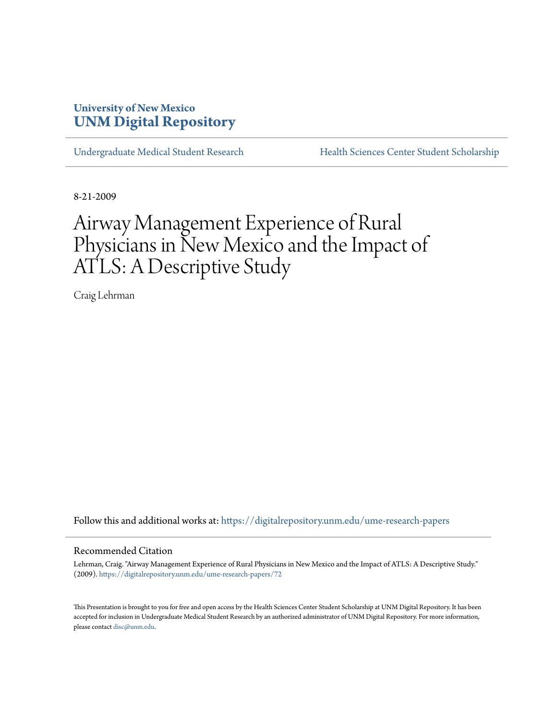# **University of New Mexico [UNM Digital Repository](https://digitalrepository.unm.edu?utm_source=digitalrepository.unm.edu%2Fume-research-papers%2F72&utm_medium=PDF&utm_campaign=PDFCoverPages)**

[Undergraduate Medical Student Research](https://digitalrepository.unm.edu/ume-research-papers?utm_source=digitalrepository.unm.edu%2Fume-research-papers%2F72&utm_medium=PDF&utm_campaign=PDFCoverPages) [Health Sciences Center Student Scholarship](https://digitalrepository.unm.edu/hsc-students?utm_source=digitalrepository.unm.edu%2Fume-research-papers%2F72&utm_medium=PDF&utm_campaign=PDFCoverPages)

8-21-2009

# Airway Management Experience of Rural Physicians in New Mexico and the Impact of ATLS: A Descriptive Study

Craig Lehrman

Follow this and additional works at: [https://digitalrepository.unm.edu/ume-research-papers](https://digitalrepository.unm.edu/ume-research-papers?utm_source=digitalrepository.unm.edu%2Fume-research-papers%2F72&utm_medium=PDF&utm_campaign=PDFCoverPages)

#### Recommended Citation

Lehrman, Craig. "Airway Management Experience of Rural Physicians in New Mexico and the Impact of ATLS: A Descriptive Study." (2009). [https://digitalrepository.unm.edu/ume-research-papers/72](https://digitalrepository.unm.edu/ume-research-papers/72?utm_source=digitalrepository.unm.edu%2Fume-research-papers%2F72&utm_medium=PDF&utm_campaign=PDFCoverPages)

This Presentation is brought to you for free and open access by the Health Sciences Center Student Scholarship at UNM Digital Repository. It has been accepted for inclusion in Undergraduate Medical Student Research by an authorized administrator of UNM Digital Repository. For more information, please contact [disc@unm.edu.](mailto:disc@unm.edu)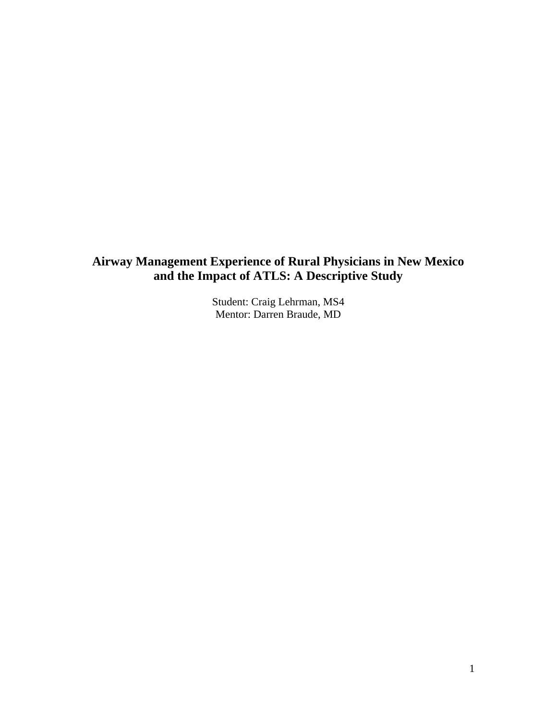## **Airway Management Experience of Rural Physicians in New Mexico and the Impact of ATLS: A Descriptive Study**

Student: Craig Lehrman, MS4 Mentor: Darren Braude, MD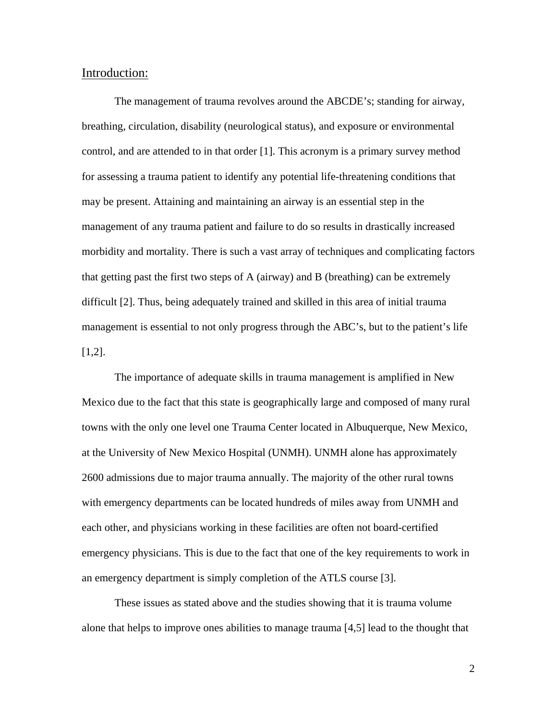#### Introduction:

The management of trauma revolves around the ABCDE's; standing for airway, breathing, circulation, disability (neurological status), and exposure or environmental control, and are attended to in that order [1]. This acronym is a primary survey method for assessing a trauma patient to identify any potential life-threatening conditions that may be present. Attaining and maintaining an airway is an essential step in the management of any trauma patient and failure to do so results in drastically increased morbidity and mortality. There is such a vast array of techniques and complicating factors that getting past the first two steps of A (airway) and B (breathing) can be extremely difficult [2]. Thus, being adequately trained and skilled in this area of initial trauma management is essential to not only progress through the ABC's, but to the patient's life [1,2].

The importance of adequate skills in trauma management is amplified in New Mexico due to the fact that this state is geographically large and composed of many rural towns with the only one level one Trauma Center located in Albuquerque, New Mexico, at the University of New Mexico Hospital (UNMH). UNMH alone has approximately 2600 admissions due to major trauma annually. The majority of the other rural towns with emergency departments can be located hundreds of miles away from UNMH and each other, and physicians working in these facilities are often not board-certified emergency physicians. This is due to the fact that one of the key requirements to work in an emergency department is simply completion of the ATLS course [3].

These issues as stated above and the studies showing that it is trauma volume alone that helps to improve ones abilities to manage trauma [4,5] lead to the thought that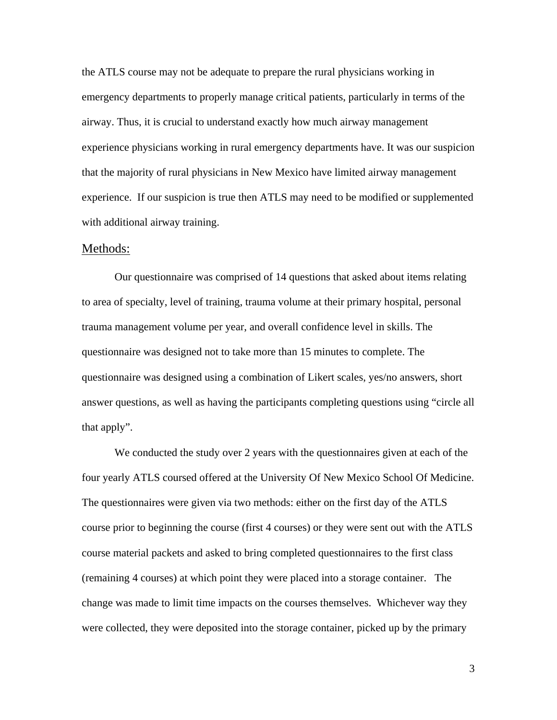the ATLS course may not be adequate to prepare the rural physicians working in emergency departments to properly manage critical patients, particularly in terms of the airway. Thus, it is crucial to understand exactly how much airway management experience physicians working in rural emergency departments have. It was our suspicion that the majority of rural physicians in New Mexico have limited airway management experience. If our suspicion is true then ATLS may need to be modified or supplemented with additional airway training.

#### Methods:

 Our questionnaire was comprised of 14 questions that asked about items relating to area of specialty, level of training, trauma volume at their primary hospital, personal trauma management volume per year, and overall confidence level in skills. The questionnaire was designed not to take more than 15 minutes to complete. The questionnaire was designed using a combination of Likert scales, yes/no answers, short answer questions, as well as having the participants completing questions using "circle all that apply".

We conducted the study over 2 years with the questionnaires given at each of the four yearly ATLS coursed offered at the University Of New Mexico School Of Medicine. The questionnaires were given via two methods: either on the first day of the ATLS course prior to beginning the course (first 4 courses) or they were sent out with the ATLS course material packets and asked to bring completed questionnaires to the first class (remaining 4 courses) at which point they were placed into a storage container. The change was made to limit time impacts on the courses themselves. Whichever way they were collected, they were deposited into the storage container, picked up by the primary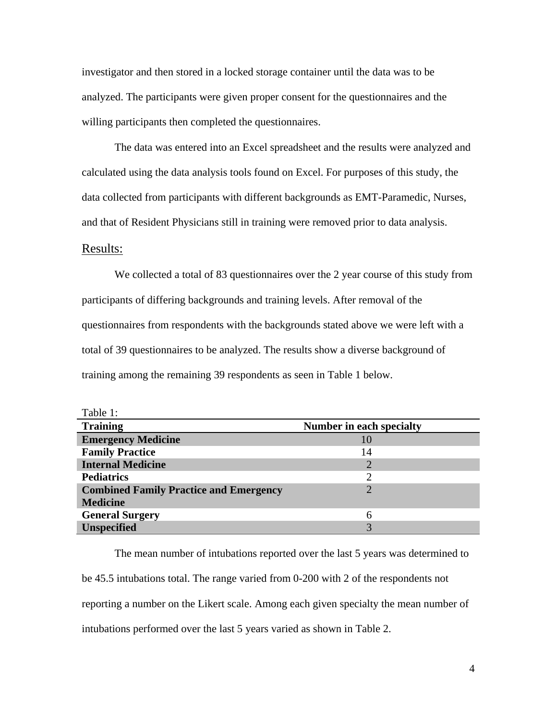investigator and then stored in a locked storage container until the data was to be analyzed. The participants were given proper consent for the questionnaires and the willing participants then completed the questionnaires.

 The data was entered into an Excel spreadsheet and the results were analyzed and calculated using the data analysis tools found on Excel. For purposes of this study, the data collected from participants with different backgrounds as EMT-Paramedic, Nurses, and that of Resident Physicians still in training were removed prior to data analysis.

#### Results:

 $T<sub>1</sub>$  1:1

 We collected a total of 83 questionnaires over the 2 year course of this study from participants of differing backgrounds and training levels. After removal of the questionnaires from respondents with the backgrounds stated above we were left with a total of 39 questionnaires to be analyzed. The results show a diverse background of training among the remaining 39 respondents as seen in Table 1 below.

| rable 1:                                      |                          |
|-----------------------------------------------|--------------------------|
| <b>Training</b>                               | Number in each specialty |
| <b>Emergency Medicine</b>                     | 10                       |
| <b>Family Practice</b>                        | 14                       |
| <b>Internal Medicine</b>                      |                          |
| <b>Pediatrics</b>                             | $\mathcal{D}$            |
| <b>Combined Family Practice and Emergency</b> | ႒                        |
| <b>Medicine</b>                               |                          |
| <b>General Surgery</b>                        | 6                        |
| <b>Unspecified</b>                            |                          |

The mean number of intubations reported over the last 5 years was determined to be 45.5 intubations total. The range varied from 0-200 with 2 of the respondents not reporting a number on the Likert scale. Among each given specialty the mean number of intubations performed over the last 5 years varied as shown in Table 2.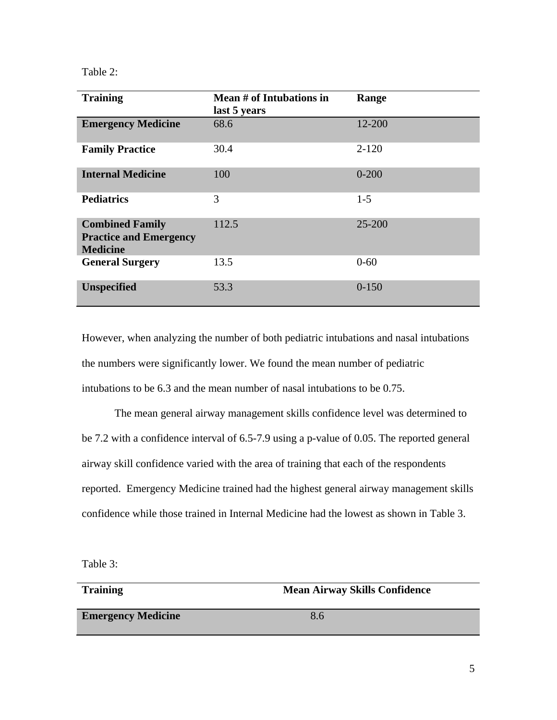#### Table 2:

| <b>Training</b>                                                            | Mean # of Intubations in<br>last 5 years | Range     |
|----------------------------------------------------------------------------|------------------------------------------|-----------|
| <b>Emergency Medicine</b>                                                  | 68.6                                     | 12-200    |
| <b>Family Practice</b>                                                     | 30.4                                     | $2 - 120$ |
| <b>Internal Medicine</b>                                                   | 100                                      | $0 - 200$ |
| <b>Pediatrics</b>                                                          | 3                                        | $1 - 5$   |
| <b>Combined Family</b><br><b>Practice and Emergency</b><br><b>Medicine</b> | 112.5                                    | 25-200    |
| <b>General Surgery</b>                                                     | 13.5                                     | $0 - 60$  |
| <b>Unspecified</b>                                                         | 53.3                                     | $0 - 150$ |

However, when analyzing the number of both pediatric intubations and nasal intubations the numbers were significantly lower. We found the mean number of pediatric intubations to be 6.3 and the mean number of nasal intubations to be 0.75.

The mean general airway management skills confidence level was determined to be 7.2 with a confidence interval of 6.5-7.9 using a p-value of 0.05. The reported general airway skill confidence varied with the area of training that each of the respondents reported. Emergency Medicine trained had the highest general airway management skills confidence while those trained in Internal Medicine had the lowest as shown in Table 3.

Table 3:

# **Training Mean Airway Skills Confidence Emergency Medicine** 8.6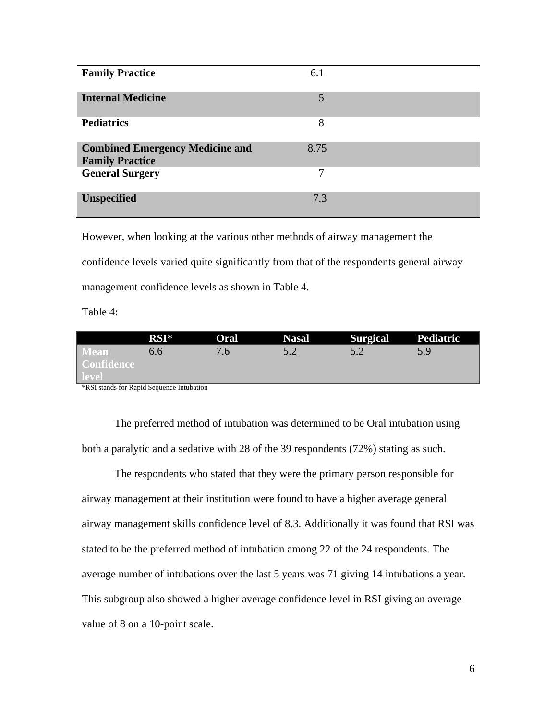| <b>Family Practice</b>                                           | 6.1  |  |
|------------------------------------------------------------------|------|--|
| <b>Internal Medicine</b>                                         | 5    |  |
| <b>Pediatrics</b>                                                | 8    |  |
| <b>Combined Emergency Medicine and</b><br><b>Family Practice</b> | 8.75 |  |
| <b>General Surgery</b>                                           | 7    |  |
| <b>Unspecified</b>                                               | 7.3  |  |

However, when looking at the various other methods of airway management the confidence levels varied quite significantly from that of the respondents general airway management confidence levels as shown in Table 4.

Table 4:

|                                     | $RSI^*$ | Oral | <b>Nasal</b> | Surgical Pediatric |     |
|-------------------------------------|---------|------|--------------|--------------------|-----|
| Mean'<br><b>Confidence</b><br>level | 0.6     | 76   |              |                    | 5 Q |

\*RSI stands for Rapid Sequence Intubation

The preferred method of intubation was determined to be Oral intubation using both a paralytic and a sedative with 28 of the 39 respondents (72%) stating as such.

 The respondents who stated that they were the primary person responsible for airway management at their institution were found to have a higher average general airway management skills confidence level of 8.3. Additionally it was found that RSI was stated to be the preferred method of intubation among 22 of the 24 respondents. The average number of intubations over the last 5 years was 71 giving 14 intubations a year. This subgroup also showed a higher average confidence level in RSI giving an average value of 8 on a 10-point scale.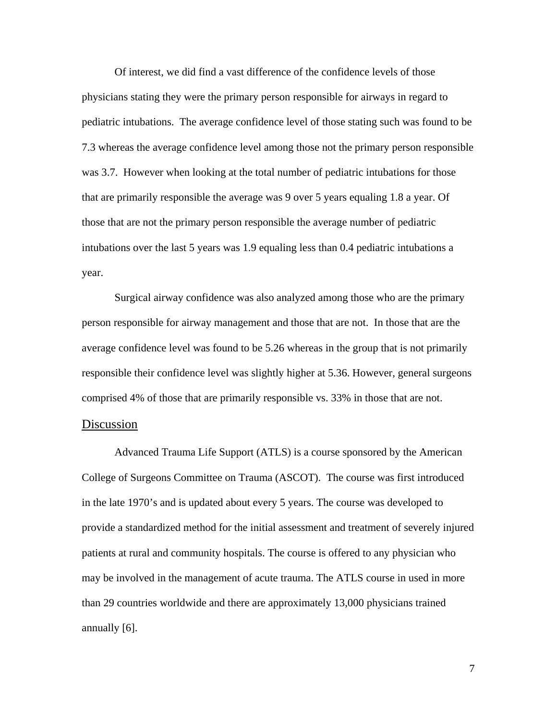Of interest, we did find a vast difference of the confidence levels of those physicians stating they were the primary person responsible for airways in regard to pediatric intubations. The average confidence level of those stating such was found to be 7.3 whereas the average confidence level among those not the primary person responsible was 3.7. However when looking at the total number of pediatric intubations for those that are primarily responsible the average was 9 over 5 years equaling 1.8 a year. Of those that are not the primary person responsible the average number of pediatric intubations over the last 5 years was 1.9 equaling less than 0.4 pediatric intubations a year.

 Surgical airway confidence was also analyzed among those who are the primary person responsible for airway management and those that are not. In those that are the average confidence level was found to be 5.26 whereas in the group that is not primarily responsible their confidence level was slightly higher at 5.36. However, general surgeons comprised 4% of those that are primarily responsible vs. 33% in those that are not.

#### Discussion

Advanced Trauma Life Support (ATLS) is a course sponsored by the American College of Surgeons Committee on Trauma (ASCOT). The course was first introduced in the late 1970's and is updated about every 5 years. The course was developed to provide a standardized method for the initial assessment and treatment of severely injured patients at rural and community hospitals. The course is offered to any physician who may be involved in the management of acute trauma. The ATLS course in used in more than 29 countries worldwide and there are approximately 13,000 physicians trained annually [6].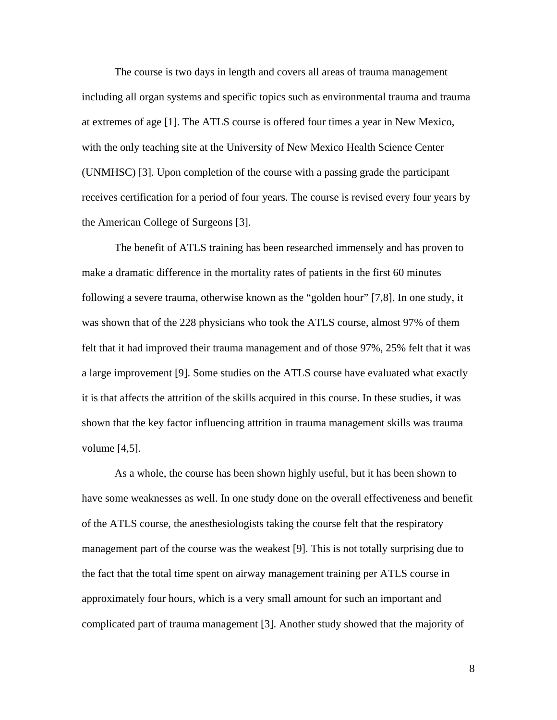The course is two days in length and covers all areas of trauma management including all organ systems and specific topics such as environmental trauma and trauma at extremes of age [1]. The ATLS course is offered four times a year in New Mexico, with the only teaching site at the University of New Mexico Health Science Center (UNMHSC) [3]. Upon completion of the course with a passing grade the participant receives certification for a period of four years. The course is revised every four years by the American College of Surgeons [3].

The benefit of ATLS training has been researched immensely and has proven to make a dramatic difference in the mortality rates of patients in the first 60 minutes following a severe trauma, otherwise known as the "golden hour" [7,8]. In one study, it was shown that of the 228 physicians who took the ATLS course, almost 97% of them felt that it had improved their trauma management and of those 97%, 25% felt that it was a large improvement [9]. Some studies on the ATLS course have evaluated what exactly it is that affects the attrition of the skills acquired in this course. In these studies, it was shown that the key factor influencing attrition in trauma management skills was trauma volume [4,5].

As a whole, the course has been shown highly useful, but it has been shown to have some weaknesses as well. In one study done on the overall effectiveness and benefit of the ATLS course, the anesthesiologists taking the course felt that the respiratory management part of the course was the weakest [9]. This is not totally surprising due to the fact that the total time spent on airway management training per ATLS course in approximately four hours, which is a very small amount for such an important and complicated part of trauma management [3]. Another study showed that the majority of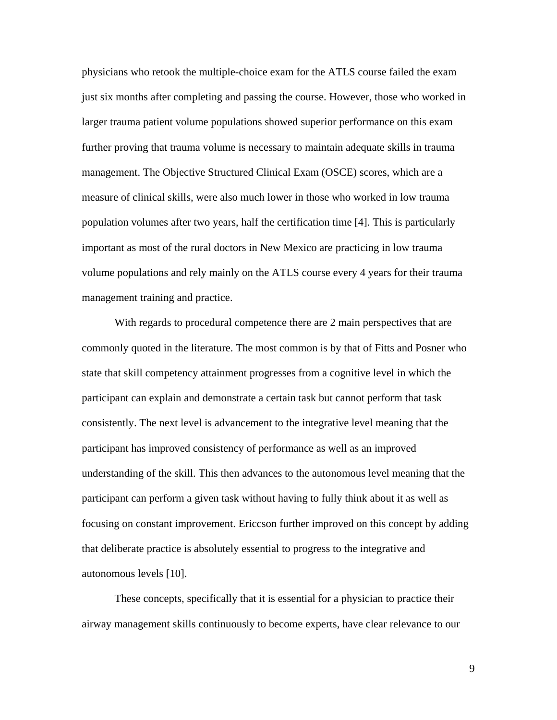physicians who retook the multiple-choice exam for the ATLS course failed the exam just six months after completing and passing the course. However, those who worked in larger trauma patient volume populations showed superior performance on this exam further proving that trauma volume is necessary to maintain adequate skills in trauma management. The Objective Structured Clinical Exam (OSCE) scores, which are a measure of clinical skills, were also much lower in those who worked in low trauma population volumes after two years, half the certification time [4]. This is particularly important as most of the rural doctors in New Mexico are practicing in low trauma volume populations and rely mainly on the ATLS course every 4 years for their trauma management training and practice.

With regards to procedural competence there are 2 main perspectives that are commonly quoted in the literature. The most common is by that of Fitts and Posner who state that skill competency attainment progresses from a cognitive level in which the participant can explain and demonstrate a certain task but cannot perform that task consistently. The next level is advancement to the integrative level meaning that the participant has improved consistency of performance as well as an improved understanding of the skill. This then advances to the autonomous level meaning that the participant can perform a given task without having to fully think about it as well as focusing on constant improvement. Ericcson further improved on this concept by adding that deliberate practice is absolutely essential to progress to the integrative and autonomous levels [10].

These concepts, specifically that it is essential for a physician to practice their airway management skills continuously to become experts, have clear relevance to our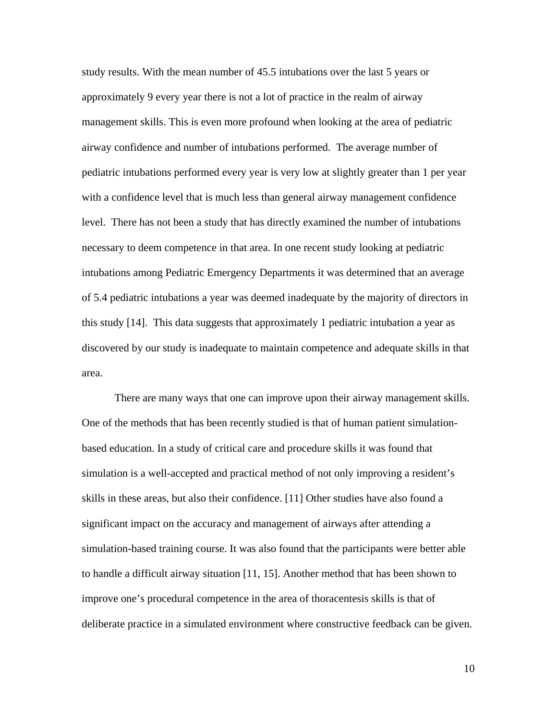study results. With the mean number of 45.5 intubations over the last 5 years or approximately 9 every year there is not a lot of practice in the realm of airway management skills. This is even more profound when looking at the area of pediatric airway confidence and number of intubations performed. The average number of pediatric intubations performed every year is very low at slightly greater than 1 per year with a confidence level that is much less than general airway management confidence level. There has not been a study that has directly examined the number of intubations necessary to deem competence in that area. In one recent study looking at pediatric intubations among Pediatric Emergency Departments it was determined that an average of 5.4 pediatric intubations a year was deemed inadequate by the majority of directors in this study [14]. This data suggests that approximately 1 pediatric intubation a year as discovered by our study is inadequate to maintain competence and adequate skills in that area.

There are many ways that one can improve upon their airway management skills. One of the methods that has been recently studied is that of human patient simulationbased education. In a study of critical care and procedure skills it was found that simulation is a well-accepted and practical method of not only improving a resident's skills in these areas, but also their confidence. [11] Other studies have also found a significant impact on the accuracy and management of airways after attending a simulation-based training course. It was also found that the participants were better able to handle a difficult airway situation [11, 15]. Another method that has been shown to improve one's procedural competence in the area of thoracentesis skills is that of deliberate practice in a simulated environment where constructive feedback can be given.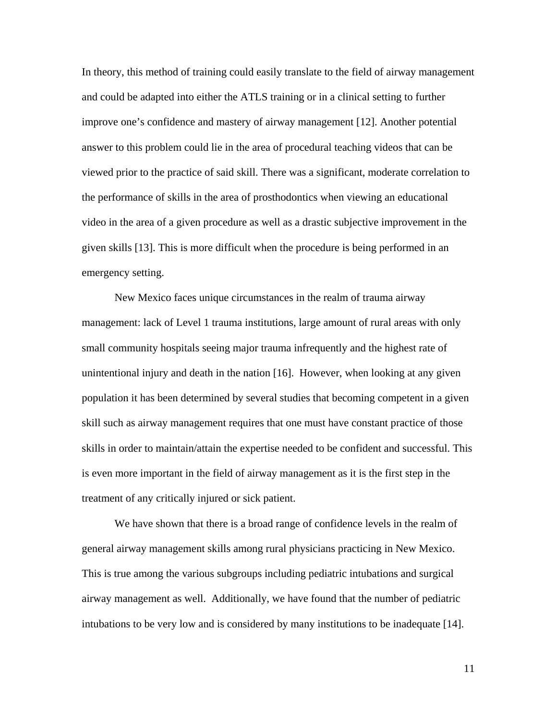In theory, this method of training could easily translate to the field of airway management and could be adapted into either the ATLS training or in a clinical setting to further improve one's confidence and mastery of airway management [12]. Another potential answer to this problem could lie in the area of procedural teaching videos that can be viewed prior to the practice of said skill. There was a significant, moderate correlation to the performance of skills in the area of prosthodontics when viewing an educational video in the area of a given procedure as well as a drastic subjective improvement in the given skills [13]. This is more difficult when the procedure is being performed in an emergency setting.

New Mexico faces unique circumstances in the realm of trauma airway management: lack of Level 1 trauma institutions, large amount of rural areas with only small community hospitals seeing major trauma infrequently and the highest rate of unintentional injury and death in the nation [16]. However, when looking at any given population it has been determined by several studies that becoming competent in a given skill such as airway management requires that one must have constant practice of those skills in order to maintain/attain the expertise needed to be confident and successful. This is even more important in the field of airway management as it is the first step in the treatment of any critically injured or sick patient.

We have shown that there is a broad range of confidence levels in the realm of general airway management skills among rural physicians practicing in New Mexico. This is true among the various subgroups including pediatric intubations and surgical airway management as well. Additionally, we have found that the number of pediatric intubations to be very low and is considered by many institutions to be inadequate [14].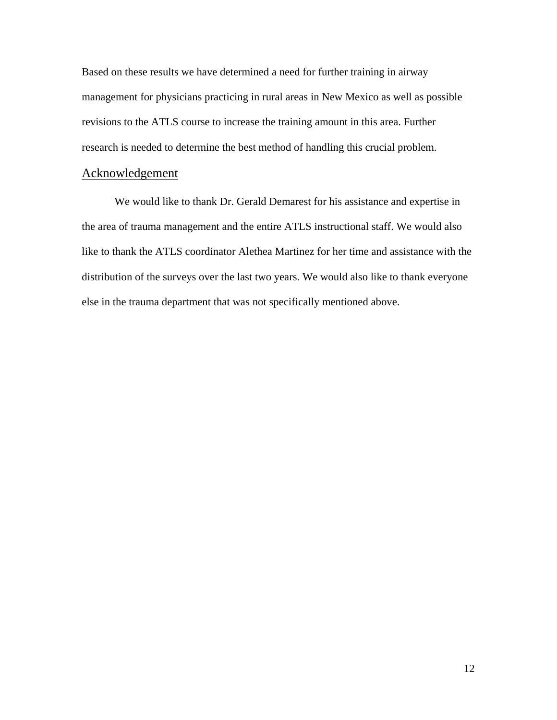Based on these results we have determined a need for further training in airway management for physicians practicing in rural areas in New Mexico as well as possible revisions to the ATLS course to increase the training amount in this area. Further research is needed to determine the best method of handling this crucial problem.

#### Acknowledgement

We would like to thank Dr. Gerald Demarest for his assistance and expertise in the area of trauma management and the entire ATLS instructional staff. We would also like to thank the ATLS coordinator Alethea Martinez for her time and assistance with the distribution of the surveys over the last two years. We would also like to thank everyone else in the trauma department that was not specifically mentioned above.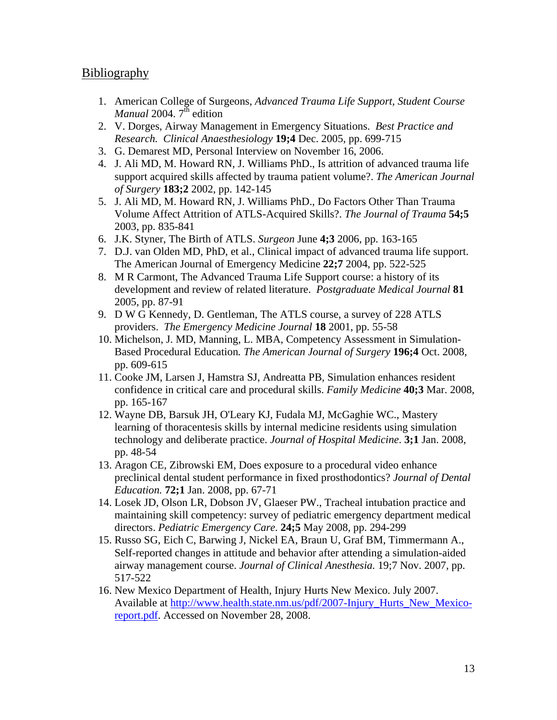### Bibliography

- 1. American College of Surgeons, *Advanced Trauma Life Support, Student Course Manual* 2004.  $7^{\text{th}}$  edition
- 2. V. Dorges, Airway Management in Emergency Situations. *Best Practice and Research. Clinical Anaesthesiology* **19;4** Dec. 2005, pp. 699-715
- 3. G. Demarest MD, Personal Interview on November 16, 2006.
- 4. J. Ali MD, M. Howard RN, J. Williams PhD., Is attrition of advanced trauma life support acquired skills affected by trauma patient volume?. *The American Journal of Surgery* **183;2** 2002, pp. 142-145
- 5. J. Ali MD, M. Howard RN, J. Williams PhD., Do Factors Other Than Trauma Volume Affect Attrition of ATLS-Acquired Skills?. *The Journal of Trauma* **54;5** 2003, pp. 835-841
- 6. J.K. Styner, The Birth of ATLS. *Surgeon* June **4;3** 2006, pp. 163-165
- 7. D.J. van Olden MD, PhD, et al., Clinical impact of advanced trauma life support. The American Journal of Emergency Medicine **22;7** 2004, pp. 522-525
- 8. M R Carmont, The Advanced Trauma Life Support course: a history of its development and review of related literature. *Postgraduate Medical Journal* **81** 2005, pp. 87-91
- 9. D W G Kennedy, D. Gentleman, The ATLS course, a survey of 228 ATLS providers. *The Emergency Medicine Journal* **18** 2001, pp. 55-58
- 10. Michelson, J. MD, Manning, L. MBA, Competency Assessment in Simulation-Based Procedural Education*. The American Journal of Surgery* **196;4** Oct. 2008, pp. 609-615
- 11. Cooke JM, Larsen J, Hamstra SJ, Andreatta PB, Simulation enhances resident confidence in critical care and procedural skills. *Family Medicine* **40;3** Mar. 2008, pp. 165-167
- 12. Wayne DB, Barsuk JH, O'Leary KJ, Fudala MJ, McGaghie WC., Mastery learning of thoracentesis skills by internal medicine residents using simulation technology and deliberate practice. *Journal of Hospital Medicine*. **3;1** Jan. 2008, pp. 48-54
- 13. Aragon CE, Zibrowski EM, Does exposure to a procedural video enhance preclinical dental student performance in fixed prosthodontics? *Journal of Dental Education.* **72;1** Jan. 2008, pp. 67-71
- 14. Losek JD, Olson LR, Dobson JV, Glaeser PW., Tracheal intubation practice and maintaining skill competency: survey of pediatric emergency department medical directors. *Pediatric Emergency Care.* **24;5** May 2008, pp. 294-299
- 15. Russo SG, Eich C, Barwing J, Nickel EA, Braun U, Graf BM, Timmermann A., Self-reported changes in attitude and behavior after attending a simulation-aided airway management course. *Journal of Clinical Anesthesia.* 19;7 Nov. 2007, pp. 517-522
- 16. New Mexico Department of Health, Injury Hurts New Mexico. July 2007. Available at http://www.health.state.nm.us/pdf/2007-Injury\_Hurts\_New\_Mexicoreport.pdf. Accessed on November 28, 2008.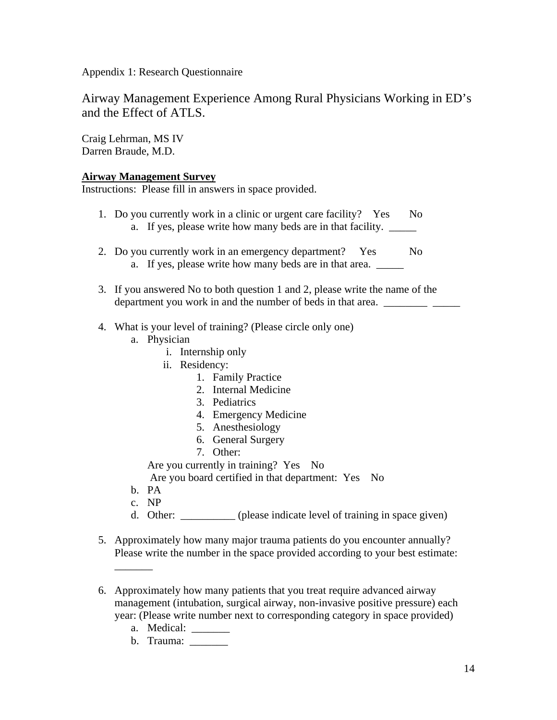Appendix 1: Research Questionnaire

Airway Management Experience Among Rural Physicians Working in ED's and the Effect of ATLS.

Craig Lehrman, MS IV Darren Braude, M.D.

#### **Airway Management Survey**

Instructions: Please fill in answers in space provided.

- 1. Do you currently work in a clinic or urgent care facility? Yes No a. If yes, please write how many beds are in that facility.
- 2. Do you currently work in an emergency department? Yes No a. If yes, please write how many beds are in that area.
- 3. If you answered No to both question 1 and 2, please write the name of the department you work in and the number of beds in that area. \_\_\_\_\_\_\_\_ \_\_\_\_\_
- 4. What is your level of training? (Please circle only one)
	- a. Physician
		- i. Internship only
		- ii. Residency:
			- 1. Family Practice
			- 2. Internal Medicine
			- 3. Pediatrics
			- 4. Emergency Medicine
			- 5. Anesthesiology
			- 6. General Surgery
			- 7. Other:
		- Are you currently in training? Yes No
		- Are you board certified in that department: Yes No
	- b. PA
	- c. NP

 $\overline{\phantom{a}}$ 

- d. Other: \_\_\_\_\_\_\_\_\_\_ (please indicate level of training in space given)
- 5. Approximately how many major trauma patients do you encounter annually? Please write the number in the space provided according to your best estimate:
- 6. Approximately how many patients that you treat require advanced airway management (intubation, surgical airway, non-invasive positive pressure) each year: (Please write number next to corresponding category in space provided)
	- a. Medical: \_\_\_\_\_\_\_\_
	- b. Trauma: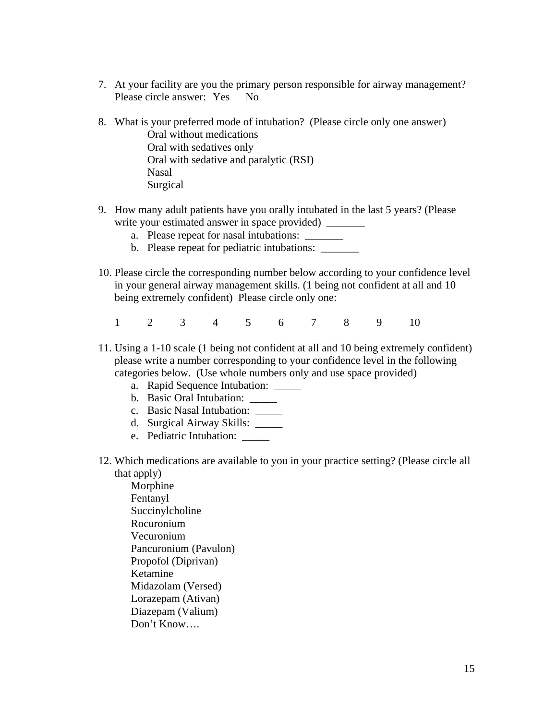- 7. At your facility are you the primary person responsible for airway management? Please circle answer: Yes No
- 8. What is your preferred mode of intubation? (Please circle only one answer) Oral without medications Oral with sedatives only Oral with sedative and paralytic (RSI) Nasal Surgical
- 9. How many adult patients have you orally intubated in the last 5 years? (Please write your estimated answer in space provided) \_\_\_\_\_\_\_
	- a. Please repeat for nasal intubations: \_\_\_\_\_\_\_\_\_
	- b. Please repeat for pediatric intubations:
- 10. Please circle the corresponding number below according to your confidence level in your general airway management skills. (1 being not confident at all and 10 being extremely confident) Please circle only one:
	- 1 2 3 4 5 6 7 8 9 10
- 11. Using a 1-10 scale (1 being not confident at all and 10 being extremely confident) please write a number corresponding to your confidence level in the following categories below. (Use whole numbers only and use space provided)
	- a. Rapid Sequence Intubation: \_\_\_\_\_
	- b. Basic Oral Intubation: \_\_\_\_\_
	- c. Basic Nasal Intubation: \_\_\_\_\_
	- d. Surgical Airway Skills: \_\_\_\_\_
	- e. Pediatric Intubation:
- 12. Which medications are available to you in your practice setting? (Please circle all that apply)
	- Morphine Fentanyl Succinylcholine Rocuronium Vecuronium Pancuronium (Pavulon) Propofol (Diprivan) Ketamine Midazolam (Versed) Lorazepam (Ativan) Diazepam (Valium) Don't Know….